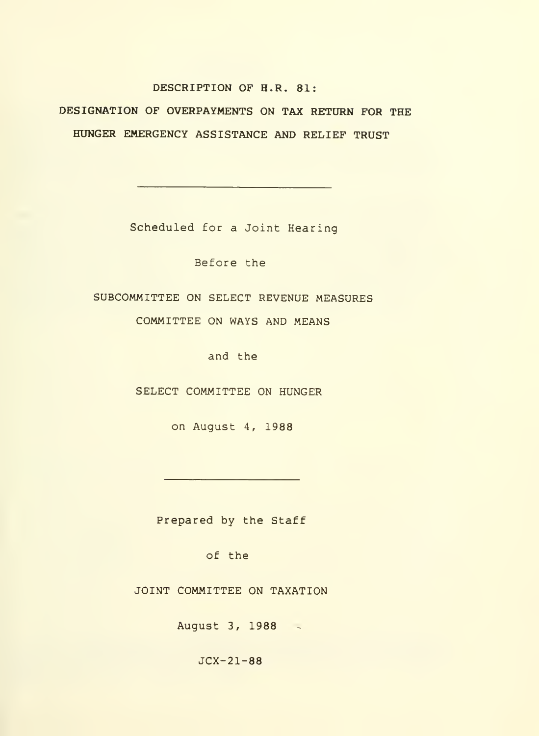### DESCRIPTION OF H.R. 81:

DESIGNATION OF OVERPAYMENTS ON TAX RETURN FOR THE HUNGER EMERGENCY ASSISTANCE AND RELIEF TRUST

Scheduled for a Joint Hearing

Before the

SUBCOMMITTEE ON SELECT REVENUE MEASURES

COMMITTEE ON WAYS AND MEANS

and the

SELECT COMMITTEE ON HUNGER

on August 4, 1988

Prepared by the Staff

of the

JOINT COMMITTEE ON TAXATION

August 3, 1988

JCX-21-88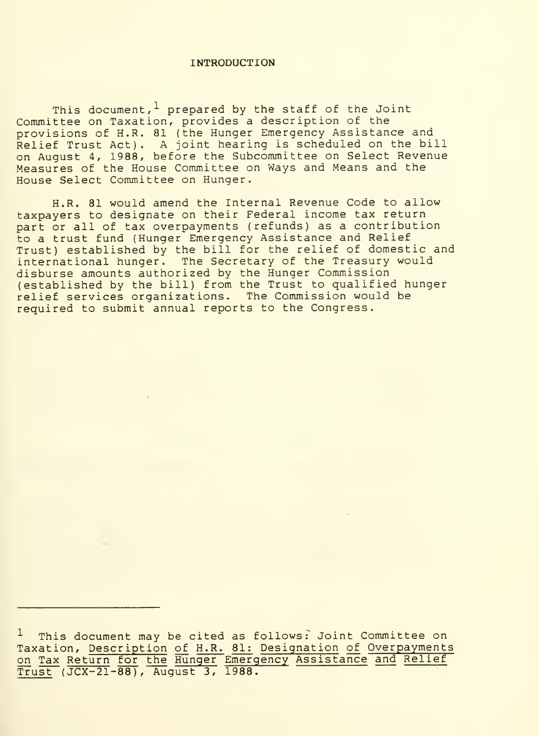#### INTRODUCTION

This document,  $\frac{1}{r}$  prepared by the staff of the Joint Committee on Taxation, provides a description of the provisions of H.R. 81 (the Hunger Emergency Assistance and Relief Trust Act). A joint hearing is scheduled on the bill on August 4, 1988, before the Subcommittee on Select Revenue Measures of the House Committee on Ways and Means and the House Select Committee on Hunger.

H.R. 81 would amend the Internal Revenue Code to allow taxpayers to designate on their Federal income tax return part or all of tax overpayments (refunds) as a contribution to a trust fund (Hunger Emergency Assistance and Relief Trust) established by the bill for the relief of domestic and international hunger. The Secretary of the Treasury would disburse amounts authorized by the Hunger Commission (established by the bill) from the Trust to qualified hunger relief services organizations. The Commission would be required to submit annual reports to the Congress.

This document may be cited as follows: Joint Committee on Taxation, Description of H.R. 81: Designation of Overpayments on Tax Return for the Hunger Emergency Assistance and Relief Trust (JCX-21-88), August 3, 1988.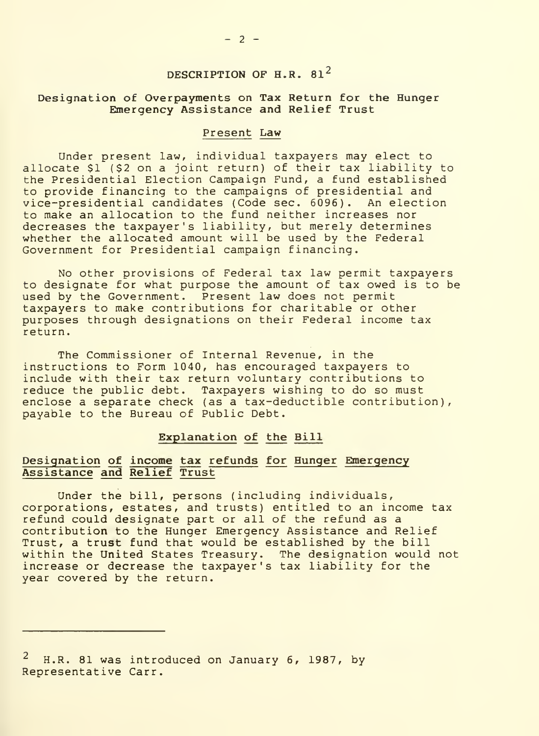# DESCRIPTION OF H.R. 81<sup>2</sup>

## Designation of Overpayments on Tax Return for the Hunger Emergency Assistance and Relief Trust

#### Present Law

Under present law, individual taxpayers may elect to allocate \$1 (\$2 on a joint return) of their tax liability to the Presidential Election Campaign Fund, a fund established to provide financing to the campaigns of presidential and<br>vice-presidential candidates (Code sec. 6096). An election  $vice-precision$  candidates (Code sec. 6096). to make an allocation to the fund neither increases nor decreases the taxpayer's liability, but merely determines whether the allocated amount will be used by the Federal Government for Presidential campaign financing.

No other provisions of Federal tax law permit taxpayers to designate for what purpose the amount of tax owed is to be used by the Government. Present law does not permit taxpayers to make contributions for charitable or other purposes through designations on their Federal income tax return.

The Commissioner of Internal Revenue, in the instructions to Form 1040, has encouraged taxpayers to include with their tax return voluntary contributions to reduce the public debt. Taxpayers wishing to do so must enclose a separate check (as a tax-deductible contribution), payable to the Bureau of Public Debt.

### Explanation of the Bill

## Designation of income tax refunds for Hunger Emergency Assistance and Relief Trust

Under the bill, persons (including individuals, corporations, estates, and trusts) entitled to an income tax<br>refund could designate part or all of the refund as a contribution to the Hunger Emergency Assistance and Relief Trust, a trust fund that would be established by the bill within the United States Treasury. The designation would not increase or decrease the taxpayer's tax liability for the year covered by the return.

 $^2$  H.R. 81 was introduced on January 6, 1987, by Representative Carr.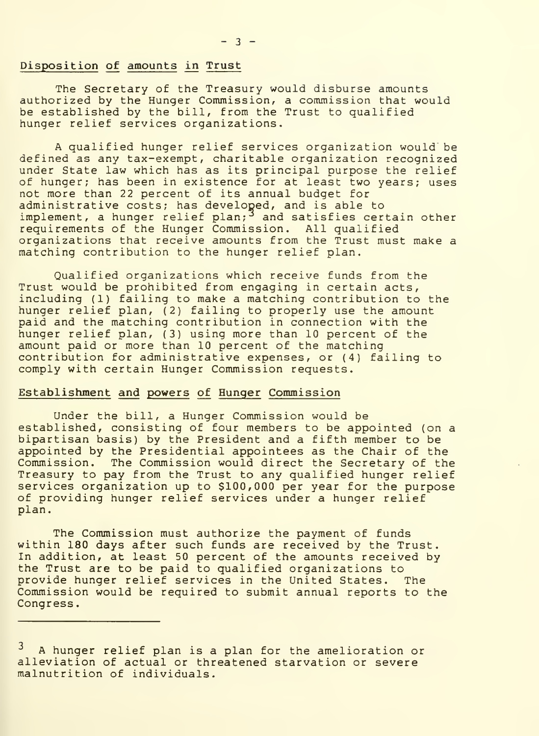#### Disposition of amounts in Trust

The Secretary of the Treasury would disburse amounts authorized by the Hunger Commission, a commission that would be established by the bill, from the Trust to qualified hunger relief services organizations.

A qualified hunger relief services organization would be defined as any tax-exempt, charitable organization recognized under State law which has as its principal purpose the relief of hunger; has been in existence for at least two years; uses not more than 22 percent of its annual budget for administrative costs; has developed, and is able to implement, a hunger relief plan;<sup>3</sup> and satisfies certain other requirements of the Hunger Commission. All qualified organizations that receive amounts from the Trust must make <sup>a</sup> matching contribution to the hunger relief plan.

Qualified organizations which receive funds from the Trust would be prohibited from engaging in certain acts, including (1) failing to make a matching contribution to the hunger relief plan, (2) failing to properly use the amount paid and the matching contribution in connection with the hunger relief plan, (3) using more than 10 percent of the amount paid or more than 10 percent of the matching contribution for administrative expenses, or (4) failing to comply with certain Hunger Commission requests.

### Establishment and powers of Hunger Commission

Under the bill, a Hunger Commission would be<br>established, consisting of four members to be appointed (on a bipartisan basis) by the President and a fifth member to be appointed by the Presidential appointees as the Chair of the Commission. The Commission would direct the Secretary of the Treasury to pay from the Trust to any qualified hunger relief services organization up to \$100,000 per year for the purpose of providing hunger relief services under a hunger relief plan.

The Commission must authorize the payment of funds within 180 days after such funds are received by the Trust. In addition, at least 50 percent of the amounts received by the Trust are to be paid to qualified organizations to provide hunger relief services in the United States. The Commission would be required to submit annual reports to the Congress

 $3$  A hunger relief plan is a plan for the amelioration or alleviation of actual or threatened starvation or severe malnutrition of individuals.